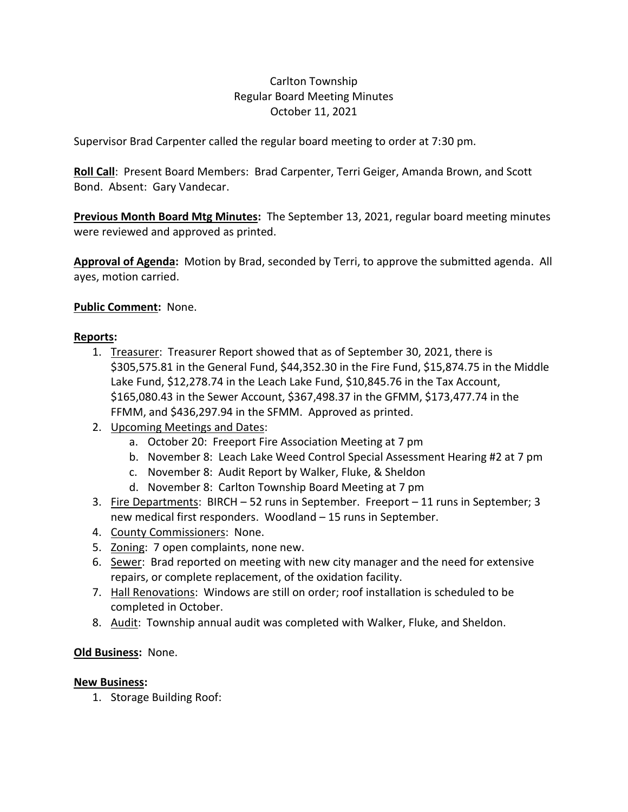# Carlton Township Regular Board Meeting Minutes October 11, 2021

Supervisor Brad Carpenter called the regular board meeting to order at 7:30 pm.

**Roll Call**: Present Board Members: Brad Carpenter, Terri Geiger, Amanda Brown, and Scott Bond. Absent: Gary Vandecar.

**Previous Month Board Mtg Minutes:** The September 13, 2021, regular board meeting minutes were reviewed and approved as printed.

**Approval of Agenda:** Motion by Brad, seconded by Terri, to approve the submitted agenda. All ayes, motion carried.

## **Public Comment:** None.

### **Reports:**

- 1. Treasurer: Treasurer Report showed that as of September 30, 2021, there is \$305,575.81 in the General Fund, \$44,352.30 in the Fire Fund, \$15,874.75 in the Middle Lake Fund, \$12,278.74 in the Leach Lake Fund, \$10,845.76 in the Tax Account, \$165,080.43 in the Sewer Account, \$367,498.37 in the GFMM, \$173,477.74 in the FFMM, and \$436,297.94 in the SFMM. Approved as printed.
- 2. Upcoming Meetings and Dates:
	- a. October 20: Freeport Fire Association Meeting at 7 pm
	- b. November 8: Leach Lake Weed Control Special Assessment Hearing #2 at 7 pm
	- c. November 8: Audit Report by Walker, Fluke, & Sheldon
	- d. November 8: Carlton Township Board Meeting at 7 pm
- 3. Fire Departments: BIRCH 52 runs in September. Freeport 11 runs in September; 3 new medical first responders. Woodland – 15 runs in September.
- 4. County Commissioners: None.
- 5. Zoning: 7 open complaints, none new.
- 6. Sewer: Brad reported on meeting with new city manager and the need for extensive repairs, or complete replacement, of the oxidation facility.
- 7. Hall Renovations: Windows are still on order; roof installation is scheduled to be completed in October.
- 8. Audit: Township annual audit was completed with Walker, Fluke, and Sheldon.

### **Old Business:** None.

### **New Business:**

1. Storage Building Roof: